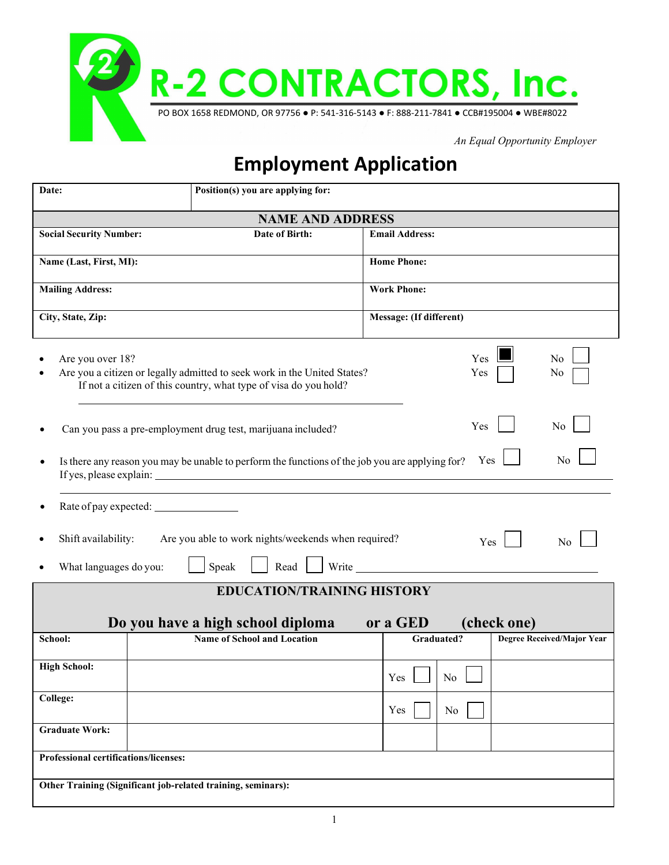

*An Equal Opportunity Employer*

# **Employment Application**

| Date:                                 | Position(s) you are applying for:                                                                                                            |                         |                       |             |                            |
|---------------------------------------|----------------------------------------------------------------------------------------------------------------------------------------------|-------------------------|-----------------------|-------------|----------------------------|
|                                       | <b>NAME AND ADDRESS</b>                                                                                                                      |                         |                       |             |                            |
| <b>Social Security Number:</b>        | Date of Birth:                                                                                                                               | <b>Email Address:</b>   |                       |             |                            |
| Name (Last, First, MI):               |                                                                                                                                              | <b>Home Phone:</b>      |                       |             |                            |
| <b>Mailing Address:</b>               |                                                                                                                                              | <b>Work Phone:</b>      |                       |             |                            |
| City, State, Zip:                     |                                                                                                                                              | Message: (If different) |                       |             |                            |
| Are you over 18?                      | Are you a citizen or legally admitted to seek work in the United States?<br>If not a citizen of this country, what type of visa do you hold? |                         | Yes<br>Yes            |             | N <sub>0</sub><br>No       |
|                                       | Can you pass a pre-employment drug test, marijuana included?                                                                                 |                         | Yes                   |             | No                         |
|                                       | Is there any reason you may be unable to perform the functions of the job you are applying for?                                              |                         | Yes                   |             | No                         |
|                                       |                                                                                                                                              |                         |                       |             |                            |
| Shift availability:                   | Are you able to work nights/weekends when required?                                                                                          |                         | Yes                   |             | N <sub>0</sub>             |
| What languages do you:                | Speak<br>Read  <br>Write                                                                                                                     |                         |                       |             |                            |
|                                       | <b>EDUCATION/TRAINING HISTORY</b>                                                                                                            |                         |                       |             |                            |
|                                       | Do you have a high school diploma                                                                                                            | or a GED                |                       | (check one) |                            |
| School:                               | <b>Name of School and Location</b>                                                                                                           |                         | <b>Graduated?</b>     |             | Degree Received/Major Year |
| <b>High School:</b>                   |                                                                                                                                              | Yes                     | <b>Contract</b><br>No |             |                            |
| College:                              |                                                                                                                                              | Yes                     | No                    |             |                            |
| <b>Graduate Work:</b>                 |                                                                                                                                              |                         |                       |             |                            |
| Professional certifications/licenses: |                                                                                                                                              |                         |                       |             |                            |
|                                       | Other Training (Significant job-related training, seminars):                                                                                 |                         |                       |             |                            |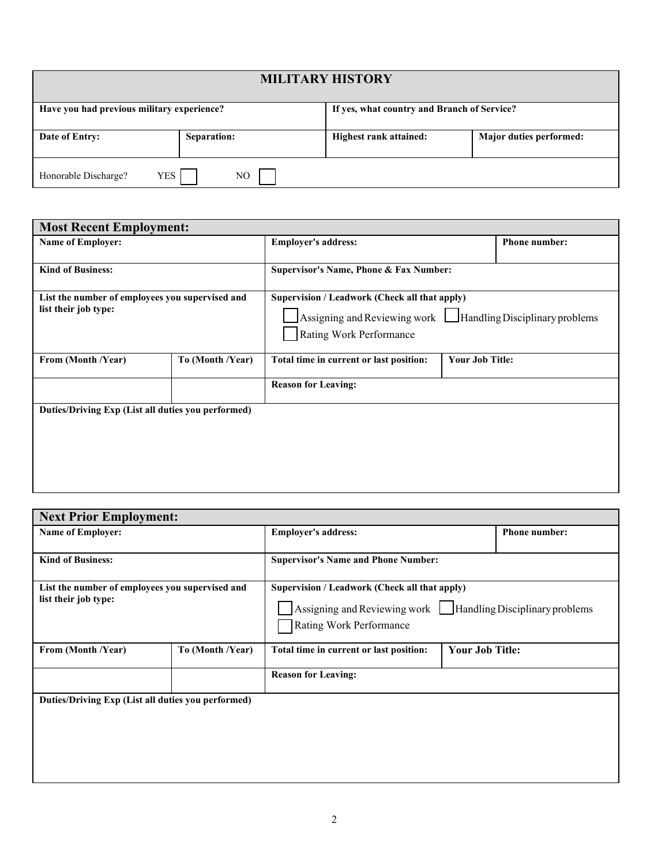| <b>MILITARY HISTORY</b>                                                                   |             |                               |                         |  |  |  |
|-------------------------------------------------------------------------------------------|-------------|-------------------------------|-------------------------|--|--|--|
| Have you had previous military experience?<br>If yes, what country and Branch of Service? |             |                               |                         |  |  |  |
| Date of Entry:                                                                            | Separation: | <b>Highest rank attained:</b> | Major duties performed: |  |  |  |
| Honorable Discharge?<br>YES<br>NO                                                         |             |                               |                         |  |  |  |

| <b>Most Recent Employment:</b>                     |                  |                                               |                                                                    |                      |  |
|----------------------------------------------------|------------------|-----------------------------------------------|--------------------------------------------------------------------|----------------------|--|
| <b>Name of Employer:</b>                           |                  | <b>Employer's address:</b>                    |                                                                    | <b>Phone number:</b> |  |
|                                                    |                  |                                               |                                                                    |                      |  |
| <b>Kind of Business:</b>                           |                  | Supervisor's Name, Phone & Fax Number:        |                                                                    |                      |  |
| List the number of employees you supervised and    |                  | Supervision / Leadwork (Check all that apply) |                                                                    |                      |  |
| list their job type:                               |                  |                                               | Assigning and Reviewing work $\Box$ Handling Disciplinary problems |                      |  |
|                                                    |                  | Rating Work Performance                       |                                                                    |                      |  |
| From (Month /Year)                                 | To (Month /Year) | Total time in current or last position:       | <b>Your Job Title:</b>                                             |                      |  |
|                                                    |                  | <b>Reason for Leaving:</b>                    |                                                                    |                      |  |
| Duties/Driving Exp (List all duties you performed) |                  |                                               |                                                                    |                      |  |
|                                                    |                  |                                               |                                                                    |                      |  |
|                                                    |                  |                                               |                                                                    |                      |  |
|                                                    |                  |                                               |                                                                    |                      |  |
|                                                    |                  |                                               |                                                                    |                      |  |
|                                                    |                  |                                               |                                                                    |                      |  |

| <b>Next Prior Employment:</b>                                           |                  |                                                                                                                                           |                        |                      |
|-------------------------------------------------------------------------|------------------|-------------------------------------------------------------------------------------------------------------------------------------------|------------------------|----------------------|
| <b>Name of Employer:</b>                                                |                  | <b>Employer's address:</b>                                                                                                                |                        | <b>Phone number:</b> |
| <b>Kind of Business:</b>                                                |                  | <b>Supervisor's Name and Phone Number:</b>                                                                                                |                        |                      |
| List the number of employees you supervised and<br>list their job type: |                  | Supervision / Leadwork (Check all that apply)<br>Assigning and Reviewing work   Handling Disciplinary problems<br>Rating Work Performance |                        |                      |
| From (Month /Year)                                                      | To (Month /Year) | Total time in current or last position:                                                                                                   | <b>Your Job Title:</b> |                      |
|                                                                         |                  | <b>Reason for Leaving:</b>                                                                                                                |                        |                      |
| Duties/Driving Exp (List all duties you performed)                      |                  |                                                                                                                                           |                        |                      |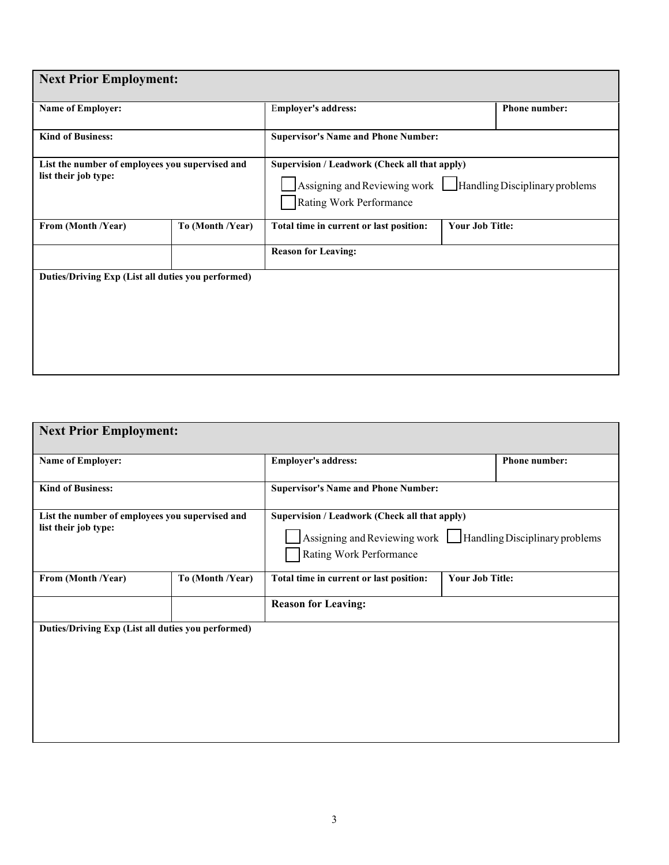| <b>Next Prior Employment:</b>                                           |                  |                                                                                                                                         |                        |  |  |  |
|-------------------------------------------------------------------------|------------------|-----------------------------------------------------------------------------------------------------------------------------------------|------------------------|--|--|--|
| Name of Employer:                                                       |                  | <b>Employer's address:</b>                                                                                                              | <b>Phone number:</b>   |  |  |  |
| <b>Kind of Business:</b>                                                |                  | <b>Supervisor's Name and Phone Number:</b>                                                                                              |                        |  |  |  |
| List the number of employees you supervised and<br>list their job type: |                  | Supervision / Leadwork (Check all that apply)<br>Assigning and Reviewing work Handling Disciplinary problems<br>Rating Work Performance |                        |  |  |  |
| From (Month /Year)                                                      | To (Month /Year) | Total time in current or last position:                                                                                                 | <b>Your Job Title:</b> |  |  |  |
|                                                                         |                  | <b>Reason for Leaving:</b>                                                                                                              |                        |  |  |  |
| Duties/Driving Exp (List all duties you performed)                      |                  |                                                                                                                                         |                        |  |  |  |

| <b>Next Prior Employment:</b>                                           |                  |                                                                                                                                         |                        |                      |
|-------------------------------------------------------------------------|------------------|-----------------------------------------------------------------------------------------------------------------------------------------|------------------------|----------------------|
| <b>Name of Employer:</b>                                                |                  | <b>Employer's address:</b>                                                                                                              |                        | <b>Phone number:</b> |
| <b>Kind of Business:</b>                                                |                  | <b>Supervisor's Name and Phone Number:</b>                                                                                              |                        |                      |
| List the number of employees you supervised and<br>list their job type: |                  | Supervision / Leadwork (Check all that apply)<br>Assigning and Reviewing work Handling Disciplinary problems<br>Rating Work Performance |                        |                      |
| From (Month /Year)                                                      | To (Month /Year) | Total time in current or last position:                                                                                                 | <b>Your Job Title:</b> |                      |
|                                                                         |                  | <b>Reason for Leaving:</b>                                                                                                              |                        |                      |
| Duties/Driving Exp (List all duties you performed)                      |                  |                                                                                                                                         |                        |                      |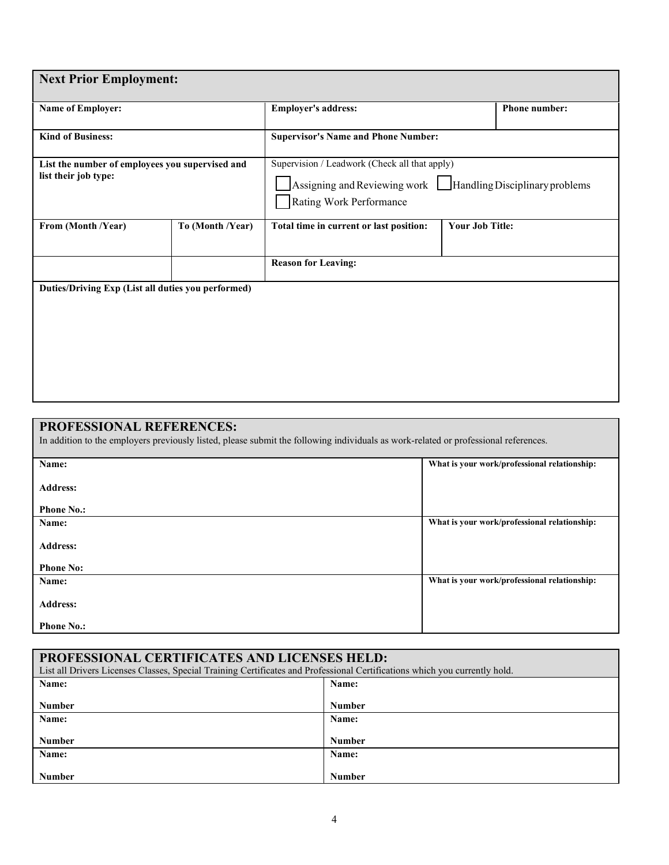| <b>Next Prior Employment:</b>                                           |                  |                                                                                                                                                |                        |               |  |
|-------------------------------------------------------------------------|------------------|------------------------------------------------------------------------------------------------------------------------------------------------|------------------------|---------------|--|
| Name of Employer:                                                       |                  | <b>Employer's address:</b>                                                                                                                     |                        | Phone number: |  |
| <b>Kind of Business:</b>                                                |                  | <b>Supervisor's Name and Phone Number:</b>                                                                                                     |                        |               |  |
| List the number of employees you supervised and<br>list their job type: |                  | Supervision / Leadwork (Check all that apply)<br>Assigning and Reviewing work $\Box$ Handling Disciplinary problems<br>Rating Work Performance |                        |               |  |
| From (Month /Year)                                                      | To (Month /Year) | Total time in current or last position:                                                                                                        | <b>Your Job Title:</b> |               |  |
|                                                                         |                  | <b>Reason for Leaving:</b>                                                                                                                     |                        |               |  |
| Duties/Driving Exp (List all duties you performed)                      |                  |                                                                                                                                                |                        |               |  |

### **PROFESSIONAL REFERENCES:**

In addition to the employers previously listed, please submit the following individuals as work-related or professional references.

| What is your work/professional relationship:<br>Name:<br><b>Address:</b><br><b>Phone No.:</b><br>What is your work/professional relationship:<br>Name:<br><b>Address:</b><br><b>Phone No:</b><br>What is your work/professional relationship:<br>Name:<br><b>Address:</b><br><b>Phone No.:</b> |  |
|------------------------------------------------------------------------------------------------------------------------------------------------------------------------------------------------------------------------------------------------------------------------------------------------|--|
|                                                                                                                                                                                                                                                                                                |  |
|                                                                                                                                                                                                                                                                                                |  |
|                                                                                                                                                                                                                                                                                                |  |
|                                                                                                                                                                                                                                                                                                |  |
|                                                                                                                                                                                                                                                                                                |  |
|                                                                                                                                                                                                                                                                                                |  |
|                                                                                                                                                                                                                                                                                                |  |
|                                                                                                                                                                                                                                                                                                |  |
|                                                                                                                                                                                                                                                                                                |  |
|                                                                                                                                                                                                                                                                                                |  |
|                                                                                                                                                                                                                                                                                                |  |
|                                                                                                                                                                                                                                                                                                |  |
|                                                                                                                                                                                                                                                                                                |  |
|                                                                                                                                                                                                                                                                                                |  |
|                                                                                                                                                                                                                                                                                                |  |
|                                                                                                                                                                                                                                                                                                |  |
|                                                                                                                                                                                                                                                                                                |  |
|                                                                                                                                                                                                                                                                                                |  |
|                                                                                                                                                                                                                                                                                                |  |
|                                                                                                                                                                                                                                                                                                |  |
|                                                                                                                                                                                                                                                                                                |  |
|                                                                                                                                                                                                                                                                                                |  |
|                                                                                                                                                                                                                                                                                                |  |
|                                                                                                                                                                                                                                                                                                |  |
|                                                                                                                                                                                                                                                                                                |  |
|                                                                                                                                                                                                                                                                                                |  |
|                                                                                                                                                                                                                                                                                                |  |

| PROFESSIONAL CERTIFICATES AND LICENSES HELD:<br>List all Drivers Licenses Classes, Special Training Certificates and Professional Certifications which you currently hold. |               |  |  |  |
|----------------------------------------------------------------------------------------------------------------------------------------------------------------------------|---------------|--|--|--|
| Name:<br>Name:                                                                                                                                                             |               |  |  |  |
| <b>Number</b>                                                                                                                                                              | <b>Number</b> |  |  |  |
| Name:                                                                                                                                                                      | Name:         |  |  |  |
| <b>Number</b>                                                                                                                                                              | <b>Number</b> |  |  |  |
| Name:                                                                                                                                                                      | Name:         |  |  |  |
| <b>Number</b>                                                                                                                                                              | <b>Number</b> |  |  |  |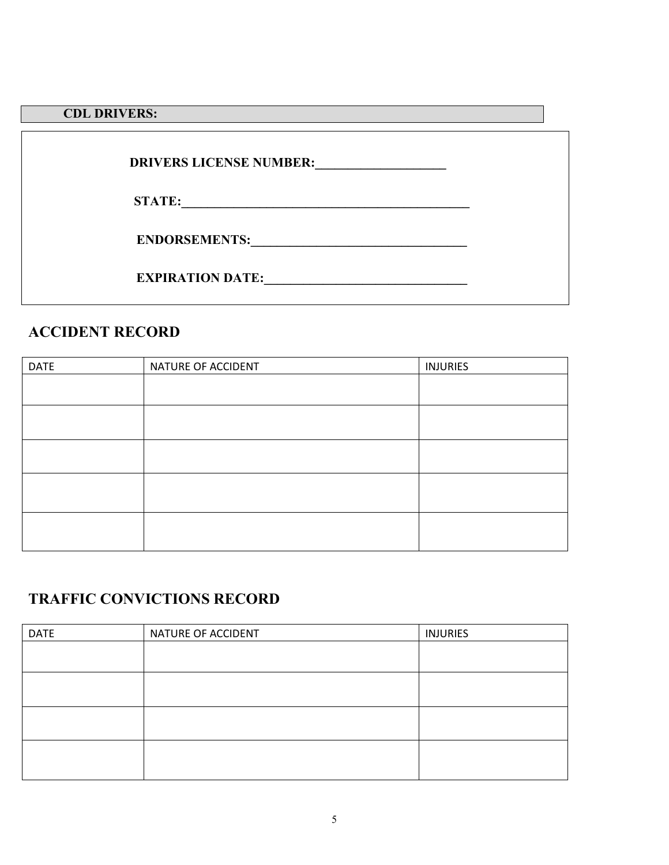## **CDL DRIVERS:**

| <b>DRIVERS LICENSE NUMBER:</b> |  |
|--------------------------------|--|
| <b>STATE:</b>                  |  |
| <b>ENDORSEMENTS:</b>           |  |
| <b>EXPIRATION DATE:</b>        |  |

# **ACCIDENT RECORD**

| <b>DATE</b> | NATURE OF ACCIDENT | <b>INJURIES</b> |
|-------------|--------------------|-----------------|
|             |                    |                 |
|             |                    |                 |
|             |                    |                 |
|             |                    |                 |
|             |                    |                 |

# **TRAFFIC CONVICTIONS RECORD**

| <b>DATE</b> | NATURE OF ACCIDENT | <b>INJURIES</b> |
|-------------|--------------------|-----------------|
|             |                    |                 |
|             |                    |                 |
|             |                    |                 |
|             |                    |                 |
|             |                    |                 |